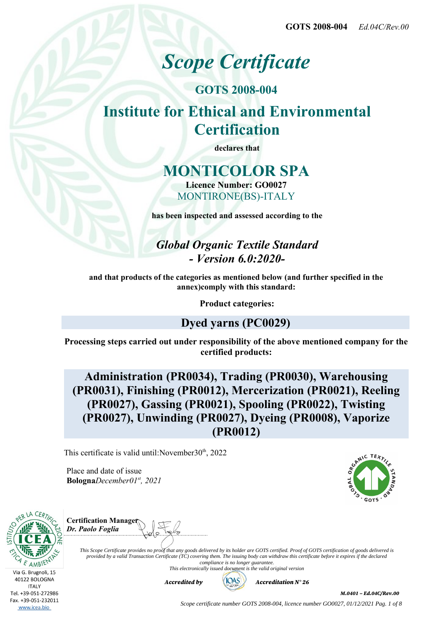# *Scope Certificate*

## **GOTS 2008-004**

# **Institute for Ethical and Environmental Certification**

**declares that**

# **MONTICOLOR SPA**

**Licence Number: GO0027** MONTIRONE(BS)-ITALY

**has been inspected and assessed according to the**

*Global Organic Textile Standard - Version 6.0:2020-*

**and that products of the categories as mentioned below (and further specified in the annex)comply with this standard:**

**Product categories:**

## **Dyed yarns (PC0029)**

**Processing steps carried out under responsibility of the above mentioned company for the certified products:**

**Administration (PR0034), Trading (PR0030), Warehousing (PR0031), Finishing (PR0012), Mercerization (PR0021), Reeling (PR0027), Gassing (PR0021), Spooling (PR0022), Twisting (PR0027), Unwinding (PR0027), Dyeing (PR0008), Vaporize (PR0012)**

This certificate is valid until:November30<sup>th</sup>, 2022

Place and date of issue **Bologna***December01st, 2021*





**Certification Manage** *Dr. Paolo Foglia*

*This Scope Certificate provides no proof that any goods delivered by its holder are GOTS certified. Proof of GOTS certification of goods delivered is provided by a valid Transaction Certificate (TC) covering them. The issuing body can withdraw this certificate before it expires if the declared compliance is no longer guarantee.*

*This electronically issued document is the valid original version*



M.0401 – Ed.04C/Rev.00

*Scope certificate number GOTS 2008-004, licence number GO0027, 01/12/2021 Pag. 1 of 8*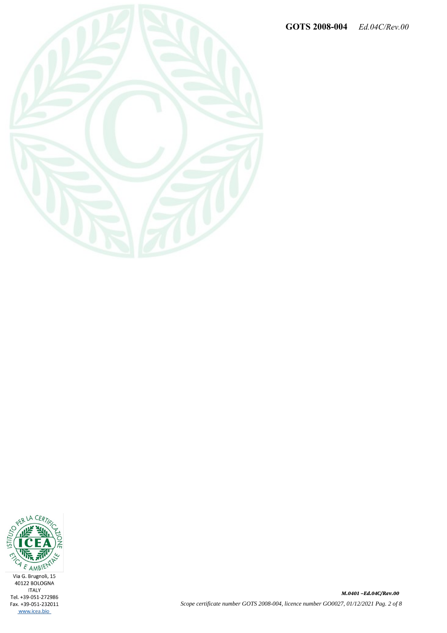

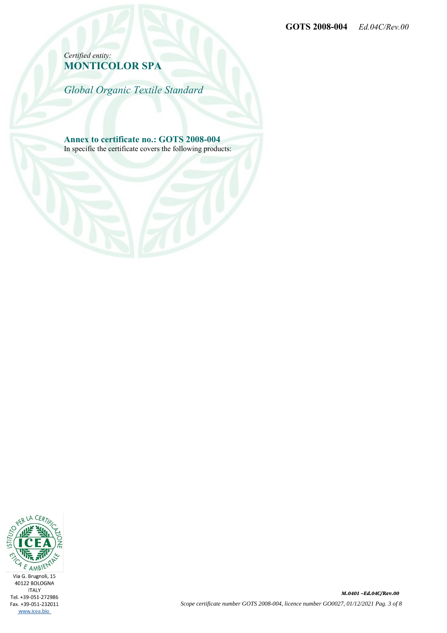### *Certified entity:* **MONTICOLOR SPA**

*Global Organic Textile Standard*

**Annex to certificate no.: GOTS 2008-004** In specific the certificate covers the following products:

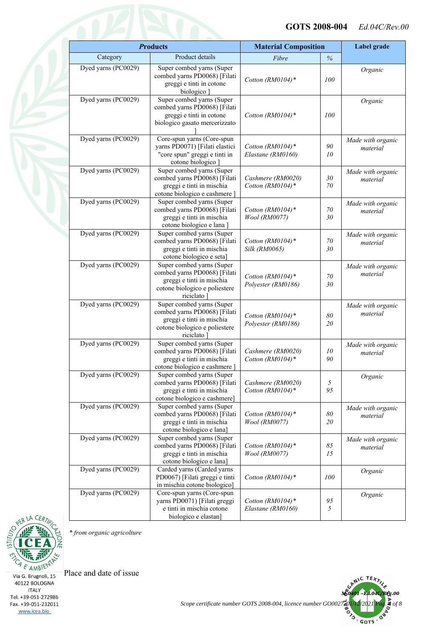|                     |                                                                                                                                        | GOTS 2008-004<br>$Ed.04C$ /Rev.0       |                     |                               |
|---------------------|----------------------------------------------------------------------------------------------------------------------------------------|----------------------------------------|---------------------|-------------------------------|
| <b>Products</b>     |                                                                                                                                        | <b>Material Composition</b>            |                     | Label grade                   |
| Category            | Product details                                                                                                                        | Fibre                                  | $\%$                |                               |
| Dyed yarns (PC0029) | Super combed yarns (Super<br>combed yarns PD0068) [Filati<br>greggi e tinti in cotone<br>biologico]                                    | Cotton (RM0104)*                       | 100                 | Organic                       |
| Dyed yarns (PC0029) | Super combed yarns (Super<br>combed yarns PD0068) [Filati<br>greggi e tinti in cotone<br>biologico gasato mercerizzato                 | Cotton (RM0104)*                       | 100                 | Organic                       |
| Dyed yarns (PC0029) | Core-spun yarns (Core-spun<br>yarns PD0071) [Filati elastici<br>"core spun" greggi e tinti in<br>cotone biologico ]                    | Cotton (RM0104)*<br>Elastane (RM0160)  | 90<br>10            | Made with organic<br>material |
| Dyed yarns (PC0029) | Super combed yarns (Super<br>combed yarns PD0068) [Filati<br>greggi e tinti in mischia<br>cotone biologico e cashmere ]                | Cashmere (RM0020)<br>Cotton (RM0104)*  | 30<br>70            | Made with organic<br>material |
| Dyed yarns (PC0029) | Super combed yarns (Super<br>combed yarns PD0068) [Filati<br>greggi e tinti in mischia<br>cotone biologico e lana ]                    | Cotton (RM0104)*<br>Wool (RM0077)      | 70<br>30            | Made with organic<br>material |
| Dyed yarns (PC0029) | Super combed yarns (Super<br>combed yarns PD0068) [Filati<br>greggi e tinti in mischia<br>cotone biologico e seta]                     | Cotton (RM0104)*<br>Silk (RM0065)      | 70<br>30            | Made with organic<br>material |
| Dyed yarns (PC0029) | Super combed yarns (Super<br>combed yarns PD0068) [Filati<br>greggi e tinti in mischia<br>cotone biologico e poliestere<br>riciclato ] | Cotton (RM0104)*<br>Polyester (RM0186) | 70<br>30            | Made with organic<br>material |
| Dyed yarns (PC0029) | Super combed yarns (Super<br>combed yarns PD0068) [Filati<br>greggi e tinti in mischia<br>cotone biologico e poliestere<br>riciclato]  | Cotton (RM0104)*<br>Polyester (RM0186) | 80<br>20            | Made with organic<br>material |
| Dyed yarns (PC0029) | Super combed yarns (Super<br>combed yarns PD0068) [Filati<br>greggi e tinti in mischia<br>cotone biologico e cashmere ]                | Cashmere (RM0020)<br>Cotton (RM0104)*  | 10<br>90            | Made with organic<br>material |
| Dyed yarns (PC0029) | Super combed yarns (Super<br>combed yarns PD0068) [Filati<br>greggi e tinti in mischia<br>cotone biologico e cashmere]                 | Cashmere (RM0020)<br>Cotton (RM0104)*  | 5<br>95             | Organic                       |
| Dyed yarns (PC0029) | Super combed yarns (Super<br>combed yarns PD0068) [Filati<br>greggi e tinti in mischia<br>cotone biologico e lana]                     | Cotton (RM0104)*<br>Wool (RM0077)      | 80<br>$2\mathit{0}$ | Made with organic<br>material |
| Dyed yarns (PC0029) | Super combed yarns (Super<br>combed yarns PD0068) [Filati<br>greggi e tinti in mischia<br>cotone biologico e lana]                     | Cotton (RM0104)*<br>Wool (RM0077)      | 85<br>15            | Made with organic<br>material |
| Dyed yarns (PC0029) | Carded yarns (Carded yarns<br>PD0067) [Filati greggi e tinti<br>in mischia cotone biologico]                                           | Cotton (RM0104)*                       | 100                 | Organic                       |
| Dyed yarns (PC0029) | Core-spun yarns (Core-spun<br>yarns PD0071) [Filati greggi<br>e tinti in mischia cotone<br>biologico e elastan]                        | Cotton (RM0104)*<br>Elastane (RM0160)  | 95<br>5             | Organic                       |



 *\* from organic agricolture*

Via G. Brugnoli, 15 40122 BOLOGNA **ITALY** Tel. +39-051-272986 Fax. +39-051-232011 www.icea.bio





*Scope certificate number GOTS 2008-004, licence number GO0027, 01/12/2021 Pag. 4 of 8*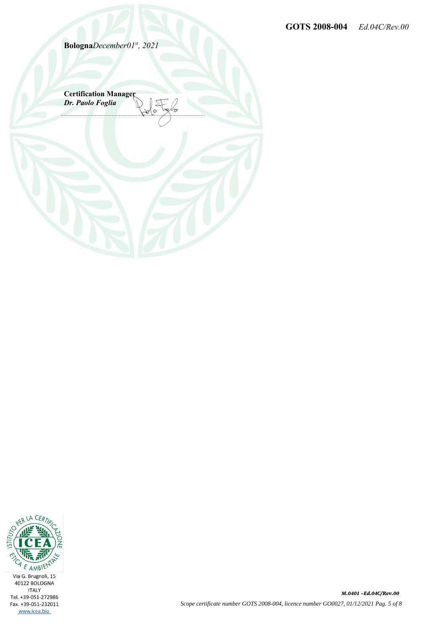**Bologna***December01st, 2021*

**Certification Manager** *Dr. Paolo Foglia*